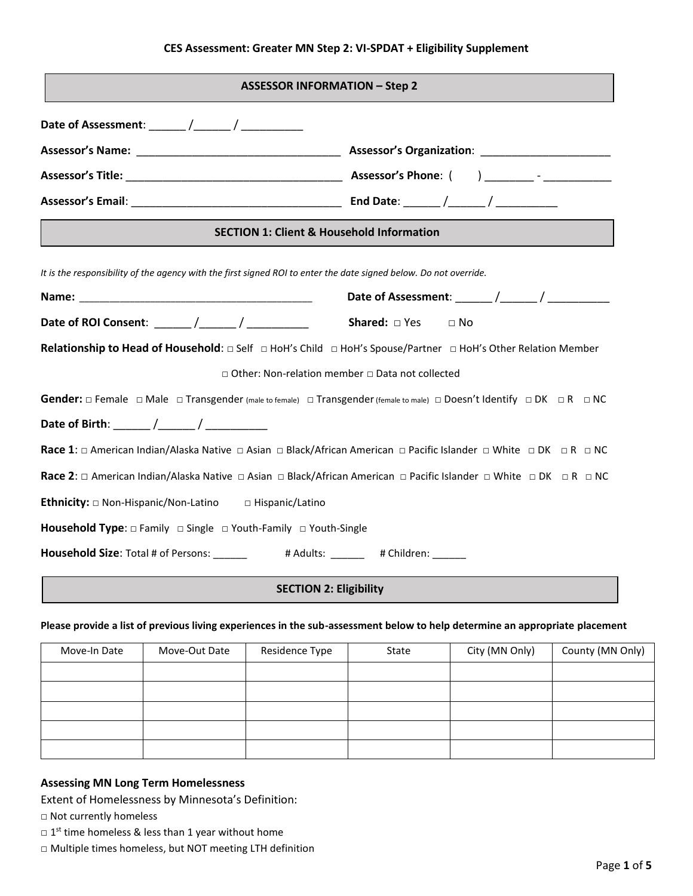## **CES Assessment: Greater MN Step 2: VI-SPDAT + Eligibility Supplement**

| <b>ASSESSOR INFORMATION - Step 2</b>                                                                                                                           |  |  |  |  |
|----------------------------------------------------------------------------------------------------------------------------------------------------------------|--|--|--|--|
|                                                                                                                                                                |  |  |  |  |
|                                                                                                                                                                |  |  |  |  |
|                                                                                                                                                                |  |  |  |  |
|                                                                                                                                                                |  |  |  |  |
| <b>SECTION 1: Client &amp; Household Information</b>                                                                                                           |  |  |  |  |
| It is the responsibility of the agency with the first signed ROI to enter the date signed below. Do not override.                                              |  |  |  |  |
|                                                                                                                                                                |  |  |  |  |
|                                                                                                                                                                |  |  |  |  |
| Relationship to Head of Household: $\Box$ Self $\Box$ HoH's Child $\Box$ HoH's Spouse/Partner $\Box$ HoH's Other Relation Member                               |  |  |  |  |
| □ Other: Non-relation member □ Data not collected                                                                                                              |  |  |  |  |
| Gender: $\Box$ Female $\Box$ Male $\Box$ Transgender (male to female) $\Box$ Transgender (female to male) $\Box$ Doesn't Identify $\Box$ DK $\Box$ R $\Box$ NC |  |  |  |  |
| Date of Birth: ______ /______ / ____________                                                                                                                   |  |  |  |  |
| <b>Race 1:</b> □ American Indian/Alaska Native □ Asian □ Black/African American □ Pacific Islander □ White □ DK □ R □ NC                                       |  |  |  |  |
| Race 2: $\Box$ American Indian/Alaska Native $\Box$ Asian $\Box$ Black/African American $\Box$ Pacific Islander $\Box$ White $\Box$ DK $\Box$ R $\Box$ NC      |  |  |  |  |
| <b>Ethnicity:</b> $\square$ Non-Hispanic/Non-Latino $\square$ Hispanic/Latino                                                                                  |  |  |  |  |
| <b>Household Type:</b> $\Box$ Family $\Box$ Single $\Box$ Youth-Family $\Box$ Youth-Single                                                                     |  |  |  |  |
| Household Size: Total # of Persons: ________ # Adults: ______ # Children: ______                                                                               |  |  |  |  |

# **SECTION 2: Eligibility**

### **Please provide a list of previous living experiences in the sub-assessment below to help determine an appropriate placement**

| Move-In Date | Move-Out Date | Residence Type | State | City (MN Only) | County (MN Only) |
|--------------|---------------|----------------|-------|----------------|------------------|
|              |               |                |       |                |                  |
|              |               |                |       |                |                  |
|              |               |                |       |                |                  |
|              |               |                |       |                |                  |
|              |               |                |       |                |                  |

# **Assessing MN Long Term Homelessness**

Extent of Homelessness by Minnesota's Definition:

□ Not currently homeless

- $\Box$  1<sup>st</sup> time homeless & less than 1 year without home
- □ Multiple times homeless, but NOT meeting LTH definition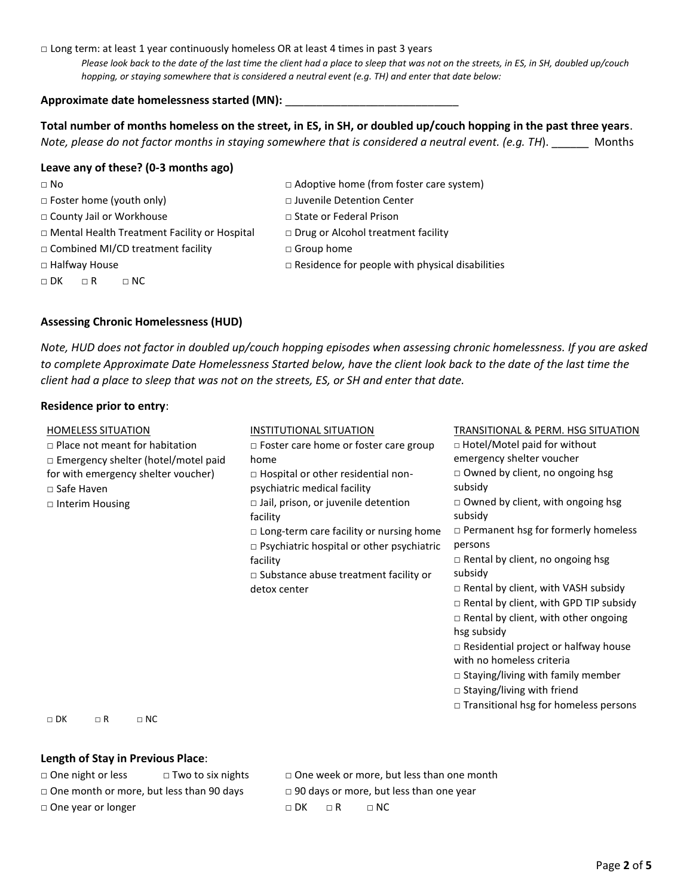## □ Long term: at least 1 year continuously homeless OR at least 4 times in past 3 years

*Please look back to the date of the last time the client had a place to sleep that was not on the streets, in ES, in SH, doubled up/couch hopping, or staying somewhere that is considered a neutral event (e.g. TH) and enter that date below:*

### **Approximate date homelessness started (MN):** \_\_\_\_\_\_\_\_\_\_\_\_\_\_\_\_\_\_\_\_\_\_\_\_\_\_\_\_

**Total number of months homeless on the street, in ES, in SH, or doubled up/couch hopping in the past three years**. *Note, please do not factor months in staying somewhere that is considered a neutral event. (e.g. TH*). \_\_\_\_\_\_ Months

### **Leave any of these? (0-3 months ago)**

| $\Box$ No                                           | $\Box$ Adoptive home (from foster care system)         |
|-----------------------------------------------------|--------------------------------------------------------|
| $\Box$ Foster home (youth only)                     | □ Juvenile Detention Center                            |
| □ County Jail or Workhouse                          | $\Box$ State or Federal Prison                         |
| $\Box$ Mental Health Treatment Facility or Hospital | $\Box$ Drug or Alcohol treatment facility              |
| $\Box$ Combined MI/CD treatment facility            | $\Box$ Group home                                      |
| $\Box$ Halfway House                                | $\Box$ Residence for people with physical disabilities |
| $\Box$ DK<br>$\sqcap$ NC.<br>$\Box$ R               |                                                        |

### **Assessing Chronic Homelessness (HUD)**

*Note, HUD does not factor in doubled up/couch hopping episodes when assessing chronic homelessness. If you are asked to complete Approximate Date Homelessness Started below, have the client look back to the date of the last time the client had a place to sleep that was not on the streets, ES, or SH and enter that date.* 

#### **Residence prior to entry**:

| <b>HOMELESS SITUATION</b>                  | <b>INSTITUTIONAL SITUATION</b>                   | TRANSITIONAL & PERM. HSG SITUATION            |
|--------------------------------------------|--------------------------------------------------|-----------------------------------------------|
| $\Box$ Place not meant for habitation      | $\Box$ Foster care home or foster care group     | $\Box$ Hotel/Motel paid for without           |
| $\Box$ Emergency shelter (hotel/motel paid | home                                             | emergency shelter voucher                     |
| for with emergency shelter voucher)        | $\Box$ Hospital or other residential non-        | □ Owned by client, no ongoing hsg             |
| □ Safe Haven                               | psychiatric medical facility                     | subsidy                                       |
| $\Box$ Interim Housing                     | $\Box$ Jail, prison, or juvenile detention       | $\Box$ Owned by client, with ongoing hsg      |
|                                            | facility                                         | subsidy                                       |
|                                            | $\Box$ Long-term care facility or nursing home   | $\Box$ Permanent hsg for formerly homeless    |
|                                            | $\Box$ Psychiatric hospital or other psychiatric | persons                                       |
|                                            | facility                                         | $\Box$ Rental by client, no ongoing hsg       |
|                                            | $\Box$ Substance abuse treatment facility or     | subsidy                                       |
|                                            | detox center                                     | $\Box$ Rental by client, with VASH subsidy    |
|                                            |                                                  | $\Box$ Rental by client, with GPD TIP subsidy |
|                                            |                                                  | $\Box$ Rental by client, with other ongoing   |
|                                            |                                                  | hsg subsidy                                   |
|                                            |                                                  | $\Box$ Residential project or halfway house   |
|                                            |                                                  | with no homeless criteria                     |
|                                            |                                                  | $\Box$ Staying/living with family member      |
|                                            |                                                  | $\Box$ Staying/living with friend             |
|                                            |                                                  | $\Box$ Transitional hsg for homeless persons  |

□ DK □ R □ NC

#### **Length of Stay in Previous Place**:

□ One night or less □ Two to six nights □ One week or more, but less than one month  $\Box$  One month or more, but less than 90 days  $\Box$  90 days or more, but less than one year □ One year or longer □ □ DK □ R □ NC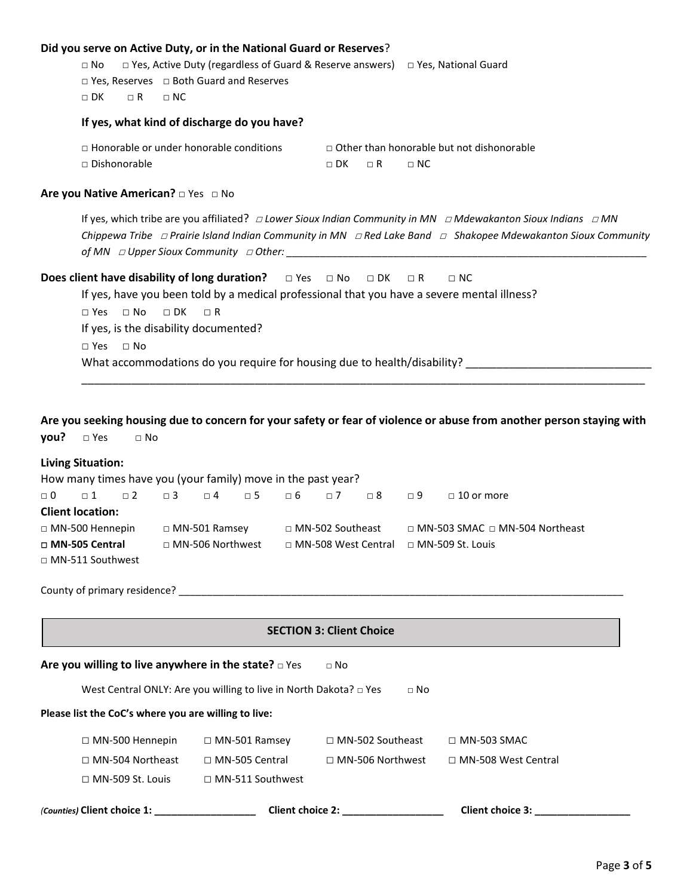## **Did you serve on Active Duty, or in the National Guard or Reserves**?

□ No □ Yes, Active Duty (regardless of Guard & Reserve answers) □ Yes, National Guard

□ Yes, Reserves □ Both Guard and Reserves

□ DK □ R □ NC

#### **If yes, what kind of discharge do you have?**

 $\Box$  Honorable or under honorable conditions  $\Box$  Other than honorable but not dishonorable □ Dishonorable □ DK □ R □ NC

## **Are you Native American?** □ Yes □ No

If yes, which tribe are you affiliated? □ *Lower Sioux Indian Community in MN* □ *Mdewakanton Sioux Indians* □ *MN Chippewa Tribe* □ *Prairie Island Indian Community in MN* □ *Red Lake Band* □ *Shakopee Mdewakanton Sioux Community of MN* □ *Upper Sioux Community* □ Other:

# **Does client have disability of long duration?** □ Yes □ No □ DK □ R □ NC

If yes, have you been told by a medical professional that you have a severe mental illness?

□ Yes □ No □ DK □ R If yes, is the disability documented?

□ Yes □ No

What accommodations do you require for housing due to health/disability? \_\_\_\_\_\_\_\_\_\_\_\_\_\_\_\_\_\_\_\_\_\_\_\_\_\_\_\_\_\_

**Are you seeking housing due to concern for your safety or fear of violence or abuse from another person staying with you?** □ Yes □ No

\_\_\_\_\_\_\_\_\_\_\_\_\_\_\_\_\_\_\_\_\_\_\_\_\_\_\_\_\_\_\_\_\_\_\_\_\_\_\_\_\_\_\_\_\_\_\_\_\_\_\_\_\_\_\_\_\_\_\_\_\_\_\_\_\_\_\_\_\_\_\_\_\_\_\_\_\_\_\_\_\_\_\_\_\_\_\_\_\_\_\_

#### **Living Situation:**

How many times have you (your family) move in the past year?

|                         |  |                         | □0  □1  □2  □3  □4  □5  □6  □7  □8  □9 |                    |  | $\Box$ 10 or more                                  |
|-------------------------|--|-------------------------|----------------------------------------|--------------------|--|----------------------------------------------------|
| <b>Client location:</b> |  |                         |                                        |                    |  |                                                    |
| $\Box$ MN-500 Hennepin  |  | $\Box$ MN-501 Ramsey    |                                        | □ MN-502 Southeast |  | $\Box$ MN-503 SMAC $\Box$ MN-504 Northeast         |
| □ MN-505 Central        |  | $\Box$ MN-506 Northwest |                                        |                    |  | $\Box$ MN-508 West Central $\Box$ MN-509 St. Louis |
| $\Box$ MN-511 Southwest |  |                         |                                        |                    |  |                                                    |

County of primary residence? \_\_\_\_\_\_\_\_\_\_\_\_\_\_\_\_\_\_\_\_\_\_\_\_\_\_\_\_\_\_\_\_\_\_\_\_\_\_\_\_\_\_\_\_\_\_\_\_\_\_\_\_\_\_\_\_\_\_\_\_\_\_\_\_\_\_\_\_\_\_\_\_\_\_\_\_\_\_\_

| <b>SECTION 3: Client Choice</b>                                                     |                         |                         |                            |  |  |  |
|-------------------------------------------------------------------------------------|-------------------------|-------------------------|----------------------------|--|--|--|
| Are you willing to live anywhere in the state? $\square$ Yes<br>$\Box$ No           |                         |                         |                            |  |  |  |
| West Central ONLY: Are you willing to live in North Dakota? $\Box$ Yes<br>$\Box$ No |                         |                         |                            |  |  |  |
| Please list the CoC's where you are willing to live:                                |                         |                         |                            |  |  |  |
| $\Box$ MN-500 Hennepin                                                              | $\Box$ MN-501 Ramsey    | $\Box$ MN-502 Southeast | $\Box$ MN-503 SMAC         |  |  |  |
| $\Box$ MN-504 Northeast                                                             | $\Box$ MN-505 Central   | $\Box$ MN-506 Northwest | $\Box$ MN-508 West Central |  |  |  |
| $\Box$ MN-509 St. Louis                                                             | $\Box$ MN-511 Southwest |                         |                            |  |  |  |
| (Counties) Client choice 1:                                                         | <b>Client choice 2:</b> |                         | <b>Client choice 3:</b>    |  |  |  |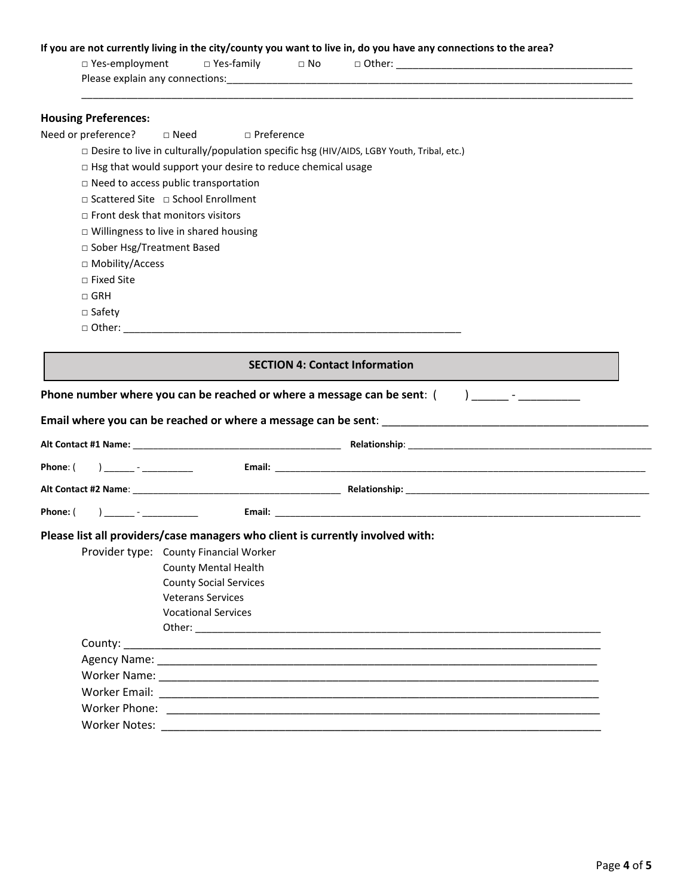### **If you are not currently living in the city/county you want to live in, do you have any connections to the area?**

\_\_\_\_\_\_\_\_\_\_\_\_\_\_\_\_\_\_\_\_\_\_\_\_\_\_\_\_\_\_\_\_\_\_\_\_\_\_\_\_\_\_\_\_\_\_\_\_\_\_\_\_\_\_\_\_\_\_\_\_\_\_\_\_\_\_\_\_\_\_\_\_\_\_\_\_\_\_\_\_\_\_\_\_\_\_\_\_\_\_\_\_\_\_\_\_\_\_

| ⊦ Yes-employment i              | □ Yes-family | $\Box$ No | Other: |
|---------------------------------|--------------|-----------|--------|
| Please explain any connections: |              |           |        |

# **Housing Preferences:**

Need or preference? □ Need □ Preference

□ Desire to live in culturally/population specific hsg (HIV/AIDS, LGBY Youth, Tribal, etc.)

□ Hsg that would support your desire to reduce chemical usage

□ Need to access public transportation

□ Scattered Site □ School Enrollment

□ Front desk that monitors visitors

□ Willingness to live in shared housing

□ Sober Hsg/Treatment Based

□ Mobility/Access

□ Fixed Site

□ GRH

□ Safety

□ Other: \_\_\_\_\_\_\_\_\_\_\_\_\_\_\_\_\_\_\_\_\_\_\_\_\_\_\_\_\_\_\_\_\_\_\_\_\_\_\_\_\_\_\_\_\_\_\_\_\_\_\_\_\_\_\_\_\_\_\_\_

|                                      |                                                                                | <b>SECTION 4: Contact Information</b>                                                           |
|--------------------------------------|--------------------------------------------------------------------------------|-------------------------------------------------------------------------------------------------|
|                                      |                                                                                | Phone number where you can be reached or where a message can be sent: $($ $)$ _____ - _________ |
|                                      |                                                                                |                                                                                                 |
|                                      |                                                                                |                                                                                                 |
| Phone: $($ ) ______ - ___________    |                                                                                |                                                                                                 |
|                                      |                                                                                |                                                                                                 |
| Phone: (   ) ______ - ______________ |                                                                                |                                                                                                 |
|                                      | Please list all providers/case managers who client is currently involved with: |                                                                                                 |
|                                      | Provider type: County Financial Worker                                         |                                                                                                 |
|                                      | <b>County Mental Health</b>                                                    |                                                                                                 |
|                                      | <b>County Social Services</b>                                                  |                                                                                                 |
|                                      | <b>Veterans Services</b>                                                       |                                                                                                 |
|                                      | <b>Vocational Services</b>                                                     |                                                                                                 |
|                                      |                                                                                |                                                                                                 |
|                                      |                                                                                |                                                                                                 |
|                                      |                                                                                |                                                                                                 |
|                                      |                                                                                |                                                                                                 |
|                                      |                                                                                |                                                                                                 |
|                                      |                                                                                |                                                                                                 |
| <b>Worker Notes:</b>                 |                                                                                |                                                                                                 |